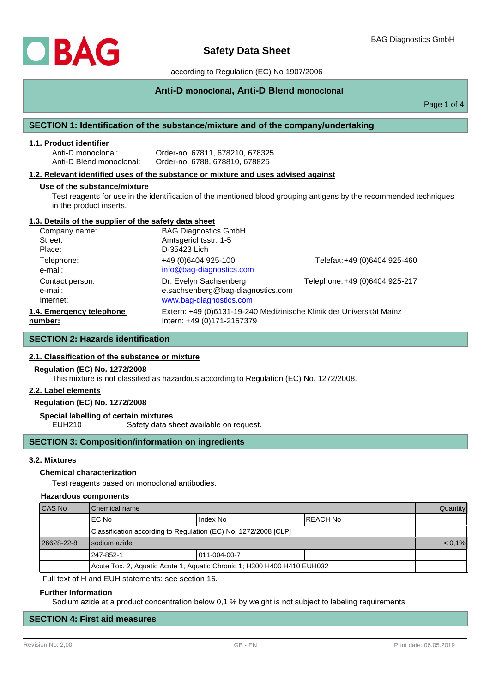

# according to Regulation (EC) No 1907/2006

# **Anti-D monoclonal, Anti-D Blend monoclonal**

Page 1 of 4

# **SECTION 1: Identification of the substance/mixture and of the company/undertaking**

### **1.1. Product identifier**

Anti-D monoclonal: Order-no. 67811, 678210, 678325 Order-no. 6788, 678810, 678825

## **1.2. Relevant identified uses of the substance or mixture and uses advised against**

#### **Use of the substance/mixture**

Test reagents for use in the identification of the mentioned blood grouping antigens by the recommended techniques in the product inserts.

# **1.3. Details of the supplier of the safety data sheet**

| Company name:            | <b>BAG Diagnostics GmbH</b>                                          |                                |
|--------------------------|----------------------------------------------------------------------|--------------------------------|
| Street:                  | Amtsgerichtsstr. 1-5                                                 |                                |
| Place:                   | D-35423 Lich                                                         |                                |
| Telephone:               | +49 (0)6404 925-100                                                  | Telefax: +49 (0)6404 925-460   |
| e-mail:                  | info@bag-diagnostics.com                                             |                                |
| Contact person:          | Dr. Evelyn Sachsenberg                                               | Telephone: +49 (0)6404 925-217 |
| e-mail:                  | e.sachsenberg@bag-diagnostics.com                                    |                                |
| Internet:                | www.bag-diagnostics.com                                              |                                |
| 1.4. Emergency telephone | Extern: +49 (0)6131-19-240 Medizinische Klinik der Universität Mainz |                                |
| number:                  | Intern: +49 (0)171-2157379                                           |                                |

# **SECTION 2: Hazards identification**

# **2.1. Classification of the substance or mixture**

#### **Regulation (EC) No. 1272/2008**

This mixture is not classified as hazardous according to Regulation (EC) No. 1272/2008.

### **2.2. Label elements**

# **Regulation (EC) No. 1272/2008**

**Special labelling of certain mixtures**

EUH210 Safety data sheet available on request.

# **SECTION 3: Composition/information on ingredients**

### **3.2. Mixtures**

### **Chemical characterization**

Test reagents based on monoclonal antibodies.

#### **Hazardous components**

| CAS No                                                                  | IChemical name                                                  |                       |           | <b>Quantity</b> |
|-------------------------------------------------------------------------|-----------------------------------------------------------------|-----------------------|-----------|-----------------|
|                                                                         | IEC No                                                          | Index No              | IREACH No |                 |
|                                                                         | Classification according to Regulation (EC) No. 1272/2008 [CLP] |                       |           |                 |
| 26628-22-8                                                              | I sodium azide                                                  |                       |           | $< 0.1\%$       |
|                                                                         | 247-852-1                                                       | $1011 - 004 - 00 - 7$ |           |                 |
| Acute Tox. 2, Aquatic Acute 1, Aquatic Chronic 1; H300 H400 H410 EUH032 |                                                                 |                       |           |                 |

Full text of H and EUH statements: see section 16.

#### **Further Information**

Sodium azide at a product concentration below 0,1 % by weight is not subject to labeling requirements

# **SECTION 4: First aid measures**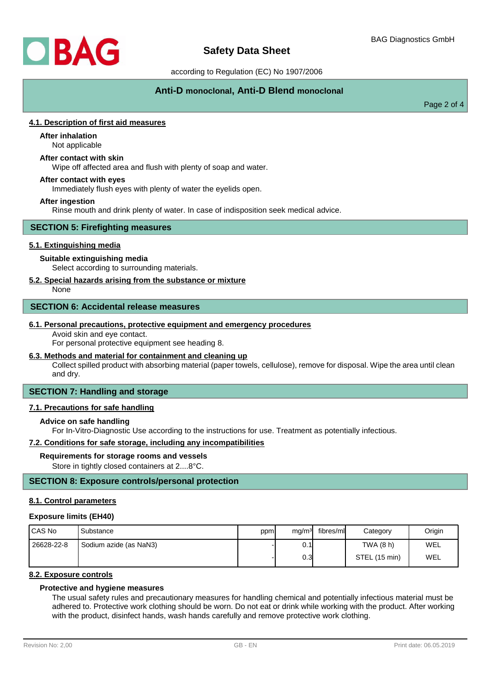

# **Safety Data Sheet**

according to Regulation (EC) No 1907/2006

# **Anti-D monoclonal, Anti-D Blend monoclonal**

Page 2 of 4

# **4.1. Description of first aid measures**

# **After inhalation**

Not applicable

# **After contact with skin**

Wipe off affected area and flush with plenty of soap and water.

## **After contact with eyes**

Immediately flush eyes with plenty of water the eyelids open.

### **After ingestion**

Rinse mouth and drink plenty of water. In case of indisposition seek medical advice.

### **SECTION 5: Firefighting measures**

# **5.1. Extinguishing media**

### **Suitable extinguishing media**

Select according to surrounding materials.

# **5.2. Special hazards arising from the substance or mixture**

None

### **SECTION 6: Accidental release measures**

#### **6.1. Personal precautions, protective equipment and emergency procedures**

Avoid skin and eye contact.

For personal protective equipment see heading 8.

# **6.3. Methods and material for containment and cleaning up**

Collect spilled product with absorbing material (paper towels, cellulose), remove for disposal. Wipe the area until clean and dry.

# **SECTION 7: Handling and storage**

### **7.1. Precautions for safe handling**

## **Advice on safe handling**

For In-Vitro-Diagnostic Use according to the instructions for use. Treatment as potentially infectious.

## **7.2. Conditions for safe storage, including any incompatibilities**

#### **Requirements for storage rooms and vessels**

Store in tightly closed containers at 2....8°C.

# **SECTION 8: Exposure controls/personal protection**

#### **8.1. Control parameters**

#### **Exposure limits (EH40)**

| I CAS No   | Substance              | ppm | mg/m <sup>3</sup> | fibres/ml | Category      | Origin |
|------------|------------------------|-----|-------------------|-----------|---------------|--------|
| 26628-22-8 | Sodium azide (as NaN3) |     | 0.1               |           | TWA (8 h)     | WEL    |
|            |                        |     | 0.3 <sub>l</sub>  |           | STEL (15 min) | WEL    |

# **8.2. Exposure controls**

# **Protective and hygiene measures**

The usual safety rules and precautionary measures for handling chemical and potentially infectious material must be adhered to. Protective work clothing should be worn. Do not eat or drink while working with the product. After working with the product, disinfect hands, wash hands carefully and remove protective work clothing.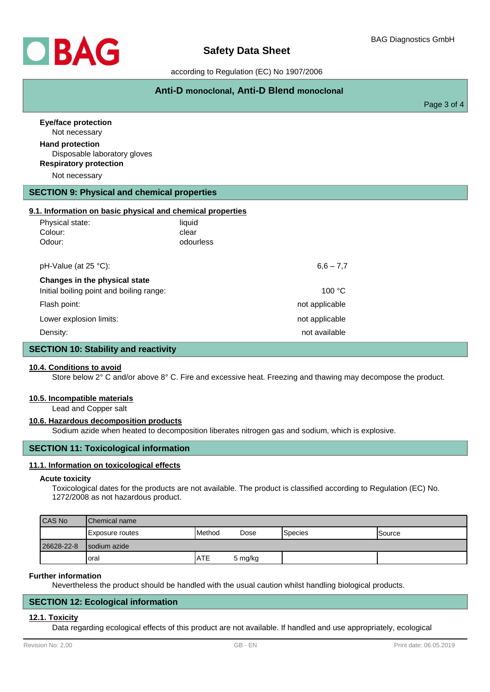

# according to Regulation (EC) No 1907/2006

# **Anti-D monoclonal, Anti-D Blend monoclonal**

Page 3 of 4

| <b>Eye/face protection</b><br>Not necessary                                                              |                |  |
|----------------------------------------------------------------------------------------------------------|----------------|--|
| <b>Hand protection</b><br>Disposable laboratory gloves<br><b>Respiratory protection</b><br>Not necessary |                |  |
| <b>SECTION 9: Physical and chemical properties</b>                                                       |                |  |
| 9.1. Information on basic physical and chemical properties                                               |                |  |
| Physical state:                                                                                          | liquid         |  |
| Colour:                                                                                                  | clear          |  |
| Odour:                                                                                                   | odourless      |  |
|                                                                                                          |                |  |
| pH-Value (at 25 °C):                                                                                     | $6,6 - 7,7$    |  |
| Changes in the physical state                                                                            |                |  |
| Initial boiling point and boiling range:                                                                 | 100 °C         |  |
| Flash point:                                                                                             | not applicable |  |
| Lower explosion limits:                                                                                  | not applicable |  |
| Density:                                                                                                 | not available  |  |
| <b>SECTION 10: Stability and reactivity</b>                                                              |                |  |

# **10.4. Conditions to avoid**

Store below 2° C and/or above 8° C. Fire and excessive heat. Freezing and thawing may decompose the product.

#### **10.5. Incompatible materials**

Lead and Copper salt

### **10.6. Hazardous decomposition products**

Sodium azide when heated to decomposition liberates nitrogen gas and sodium, which is explosive.

# **SECTION 11: Toxicological information**

### **11.1. Information on toxicological effects**

#### **Acute toxicity**

Toxicological dates for the products are not available. The product is classified according to Regulation (EC) No. 1272/2008 as not hazardous product.

| CAS No     | <b>IChemical name</b> |                 |         |                 |                |
|------------|-----------------------|-----------------|---------|-----------------|----------------|
|            | IExposure routes      | <b>I</b> Method | Dose    | <b>S</b> pecies | <b>ISource</b> |
| 26628-22-8 | Isodium azide         |                 |         |                 |                |
|            | Ioral                 | <b>ATE</b>      | 5 mg/kg |                 |                |

#### **Further information**

Nevertheless the product should be handled with the usual caution whilst handling biological products.

## **SECTION 12: Ecological information**

#### **12.1. Toxicity**

Data regarding ecological effects of this product are not available. If handled and use appropriately, ecological